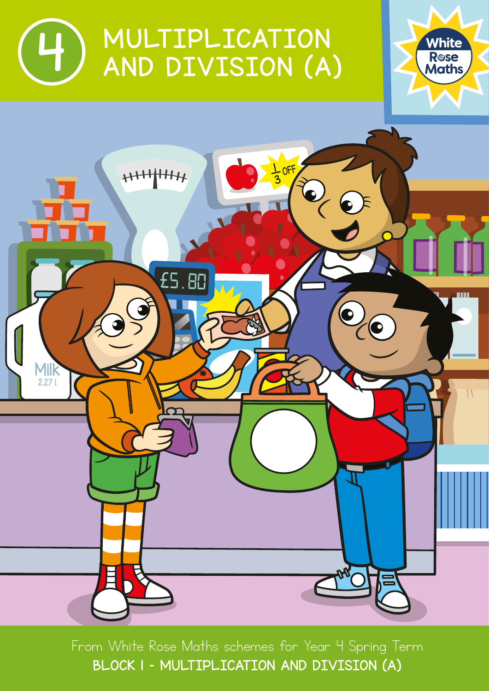





From White Rose Maths schemes for Year 4 Spring Term BLOCK I – MULTIPLICATION AND DIVISION (A)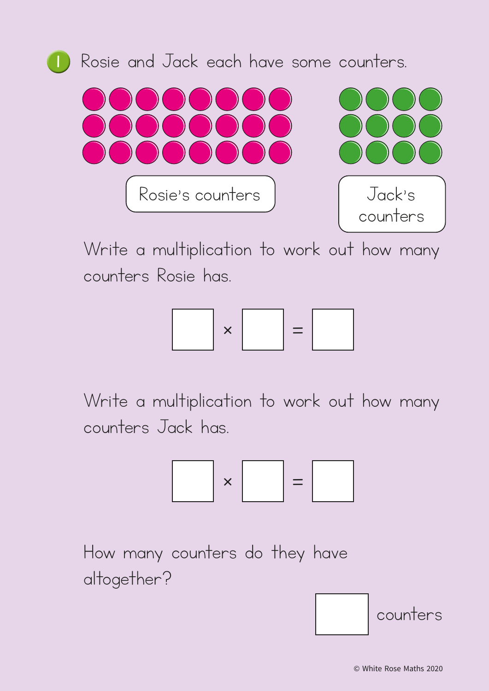

Write a multiplication to work out how many counters Rosie has.



Write a multiplication to work out how many counters Jack has.



How many counters do they have altogether?

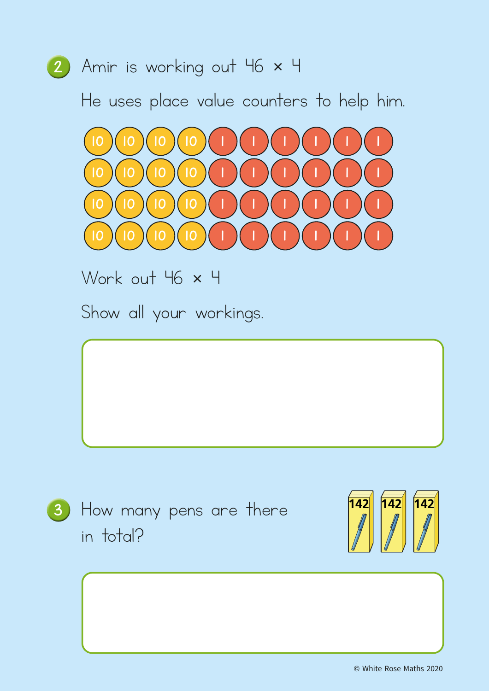

He uses place value counters to help him.



Work out 46 x 4

Show all your workings.



3) How many pens are there in total?

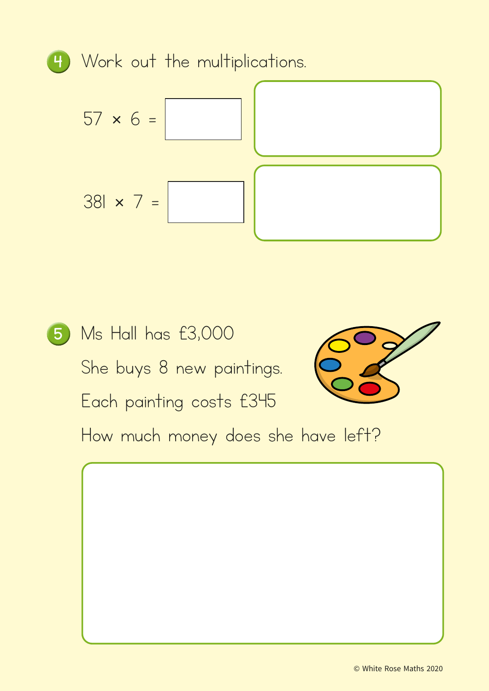<sup>4</sup> Work out the multiplications.  $57 \times 6 =$ 381 × 7 =

<sup>5</sup> Ms Hall has £3,000 She buys 8 new paintings. Each painting costs £345 How much money does she have left?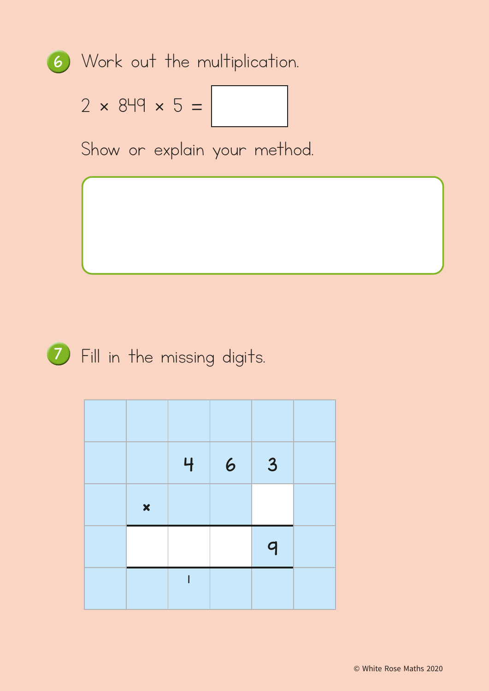

$$
2 \times 849 \times 5 =
$$

Show or explain your method.



<sup>7</sup> Fill in the missing digits.

|                           | 4 | $\overline{6}$ | 3            |  |
|---------------------------|---|----------------|--------------|--|
| $\boldsymbol{\mathsf{x}}$ |   |                |              |  |
|                           |   |                | $\mathsf{q}$ |  |
|                           |   |                |              |  |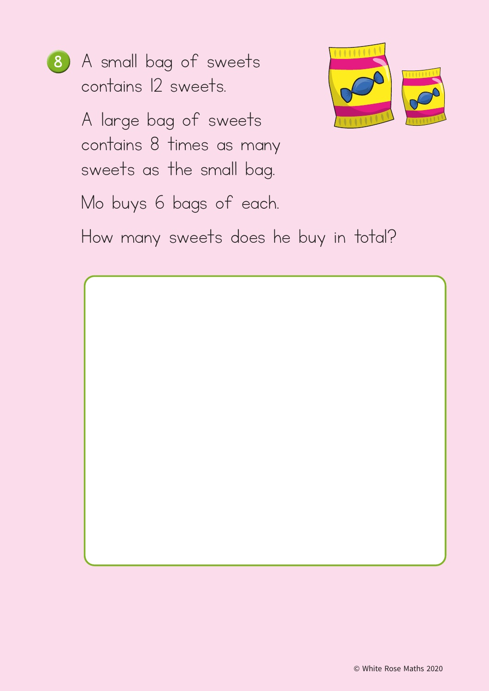8 A small bag of sweets contains 12 sweets.

> A large bag of sweets contains 8 times as many sweets as the small bag.

> Mo buys 6 bags of each.



How many sweets does he buy in total?